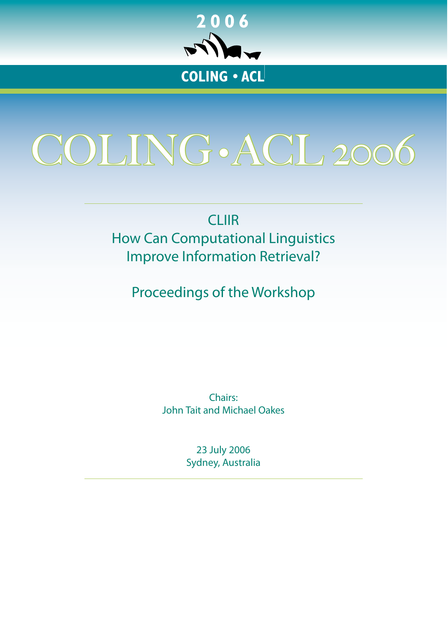

# <span id="page-0-0"></span>COLING•ACL 2006

CLIIR How Can Computational Linguistics Improve Information Retrieval?

Proceedings of the Workshop

Chairs: John Tait and Michael Oakes

> 23 July 2006 Sydney, Australia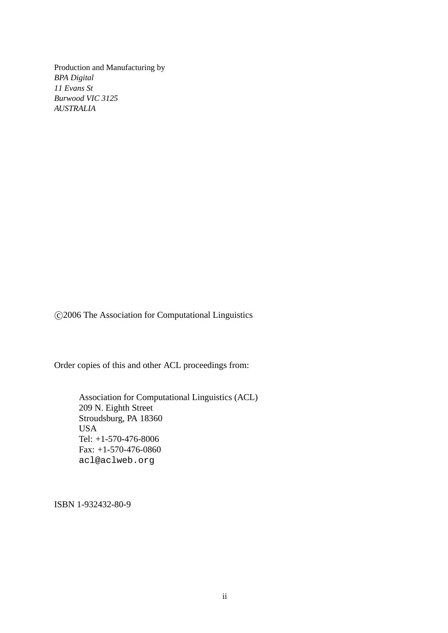Production and Manufacturing by *BPA Digital 11 Evans St Burwood VIC 3125 AUSTRALIA*

c 2006 The Association for Computational Linguistics

Order copies of this and other ACL proceedings from:

Association for Computational Linguistics (ACL) 209 N. Eighth Street Stroudsburg, PA 18360 USA Tel: +1-570-476-8006 Fax: +1-570-476-0860 acl@aclweb.org

ISBN 1-932432-80-9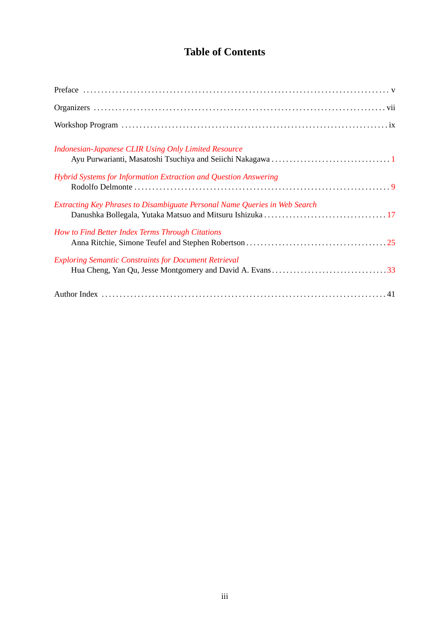## **Table of Contents**

| <b>Indonesian-Japanese CLIR Using Only Limited Resource</b>                |
|----------------------------------------------------------------------------|
| Hybrid Systems for Information Extraction and Question Answering           |
| Extracting Key Phrases to Disambiguate Personal Name Queries in Web Search |
| How to Find Better Index Terms Through Citations                           |
| <b>Exploring Semantic Constraints for Document Retrieval</b>               |
|                                                                            |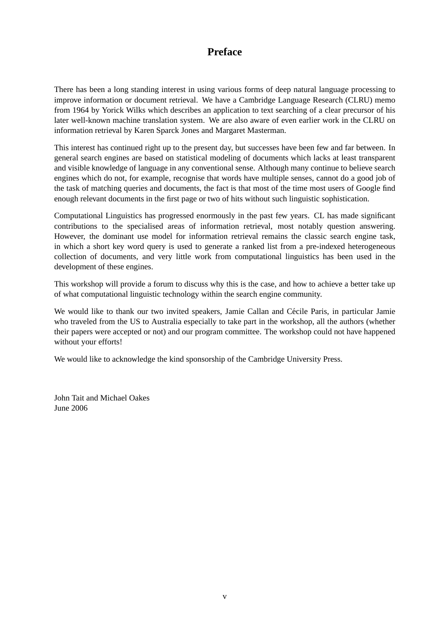## **Preface**

There has been a long standing interest in using various forms of deep natural language processing to improve information or document retrieval. We have a Cambridge Language Research (CLRU) memo from 1964 by Yorick Wilks which describes an application to text searching of a clear precursor of his later well-known machine translation system. We are also aware of even earlier work in the CLRU on information retrieval by Karen Sparck Jones and Margaret Masterman.

This interest has continued right up to the present day, but successes have been few and far between. In general search engines are based on statistical modeling of documents which lacks at least transparent and visible knowledge of language in any conventional sense. Although many continue to believe search engines which do not, for example, recognise that words have multiple senses, cannot do a good job of the task of matching queries and documents, the fact is that most of the time most users of Google find enough relevant documents in the first page or two of hits without such linguistic sophistication.

Computational Linguistics has progressed enormously in the past few years. CL has made significant contributions to the specialised areas of information retrieval, most notably question answering. However, the dominant use model for information retrieval remains the classic search engine task, in which a short key word query is used to generate a ranked list from a pre-indexed heterogeneous collection of documents, and very little work from computational linguistics has been used in the development of these engines.

This workshop will provide a forum to discuss why this is the case, and how to achieve a better take up of what computational linguistic technology within the search engine community.

We would like to thank our two invited speakers, Jamie Callan and Cécile Paris, in particular Jamie who traveled from the US to Australia especially to take part in the workshop, all the authors (whether their papers were accepted or not) and our program committee. The workshop could not have happened without your efforts!

We would like to acknowledge the kind sponsorship of the Cambridge University Press.

John Tait and Michael Oakes June 2006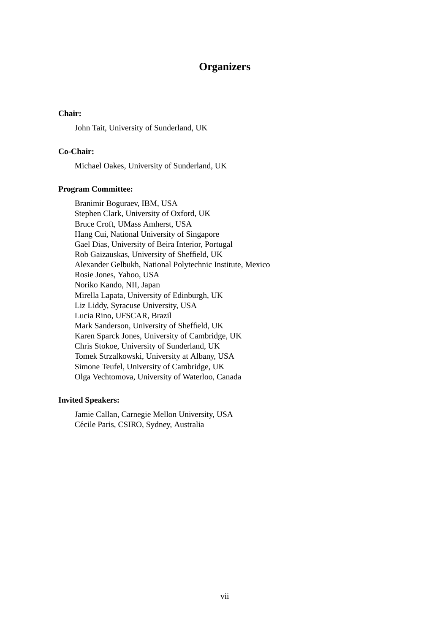### **Organizers**

#### **Chair:**

John Tait, University of Sunderland, UK

#### **Co-Chair:**

Michael Oakes, University of Sunderland, UK

#### **Program Committee:**

Branimir Boguraev, IBM, USA Stephen Clark, University of Oxford, UK Bruce Croft, UMass Amherst, USA Hang Cui, National University of Singapore Gael Dias, University of Beira Interior, Portugal Rob Gaizauskas, University of Sheffield, UK Alexander Gelbukh, National Polytechnic Institute, Mexico Rosie Jones, Yahoo, USA Noriko Kando, NII, Japan Mirella Lapata, University of Edinburgh, UK Liz Liddy, Syracuse University, USA Lucia Rino, UFSCAR, Brazil Mark Sanderson, University of Sheffield, UK Karen Sparck Jones, University of Cambridge, UK Chris Stokoe, University of Sunderland, UK Tomek Strzalkowski, University at Albany, USA Simone Teufel, University of Cambridge, UK Olga Vechtomova, University of Waterloo, Canada

#### **Invited Speakers:**

Jamie Callan, Carnegie Mellon University, USA Cécile Paris, CSIRO, Sydney, Australia